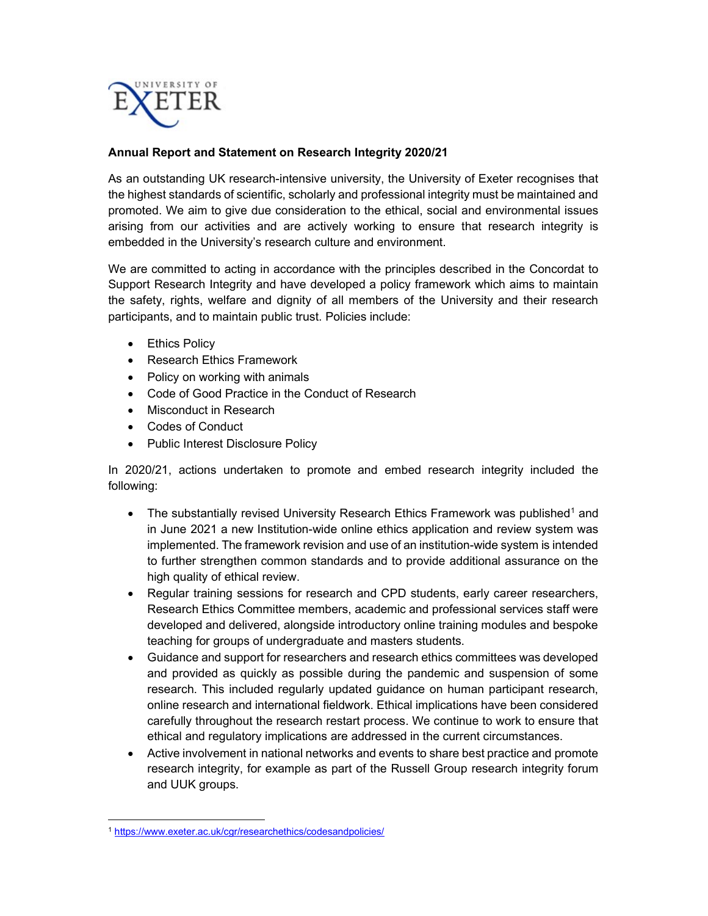

## Annual Report and Statement on Research Integrity 2020/21

As an outstanding UK research-intensive university, the University of Exeter recognises that the highest standards of scientific, scholarly and professional integrity must be maintained and promoted. We aim to give due consideration to the ethical, social and environmental issues arising from our activities and are actively working to ensure that research integrity is embedded in the University's research culture and environment.

We are committed to acting in accordance with the principles described in the Concordat to Support Research Integrity and have developed a policy framework which aims to maintain the safety, rights, welfare and dignity of all members of the University and their research participants, and to maintain public trust. Policies include:

- Ethics Policy
- Research Ethics Framework
- Policy on working with animals
- Code of Good Practice in the Conduct of Research
- Misconduct in Research
- Codes of Conduct
- Public Interest Disclosure Policy

In 2020/21, actions undertaken to promote and embed research integrity included the following:

- The substantially revised University Research Ethics Framework was published<sup>1</sup> and in June 2021 a new Institution-wide online ethics application and review system was implemented. The framework revision and use of an institution-wide system is intended to further strengthen common standards and to provide additional assurance on the high quality of ethical review.
- Regular training sessions for research and CPD students, early career researchers, Research Ethics Committee members, academic and professional services staff were developed and delivered, alongside introductory online training modules and bespoke teaching for groups of undergraduate and masters students.
- Guidance and support for researchers and research ethics committees was developed and provided as quickly as possible during the pandemic and suspension of some research. This included regularly updated guidance on human participant research, online research and international fieldwork. Ethical implications have been considered carefully throughout the research restart process. We continue to work to ensure that ethical and regulatory implications are addressed in the current circumstances.
- Active involvement in national networks and events to share best practice and promote research integrity, for example as part of the Russell Group research integrity forum and UUK groups.

<sup>1</sup> https://www.exeter.ac.uk/cgr/researchethics/codesandpolicies/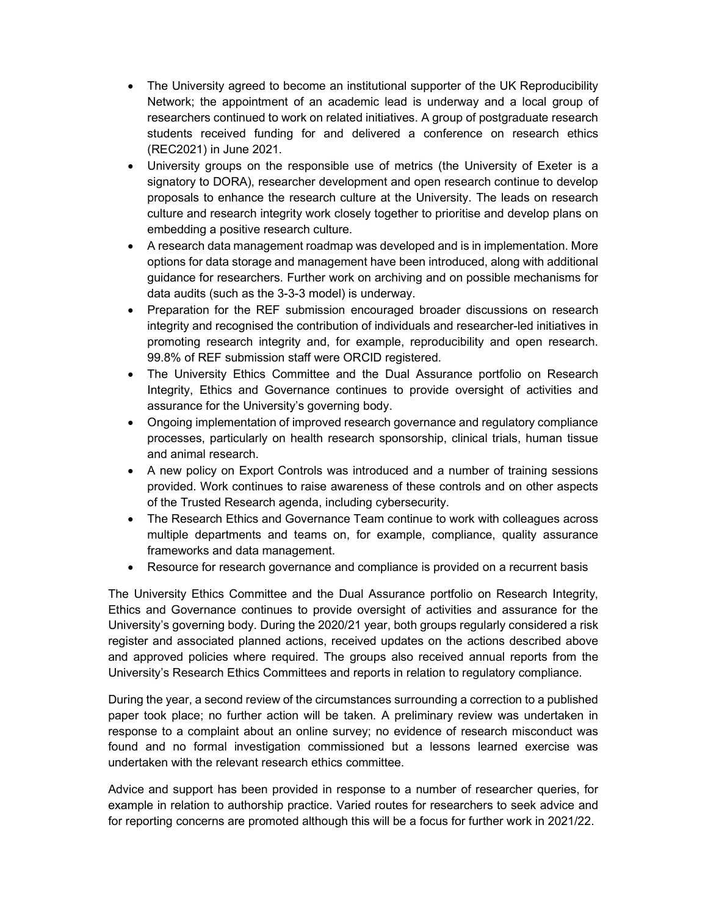- The University agreed to become an institutional supporter of the UK Reproducibility Network; the appointment of an academic lead is underway and a local group of researchers continued to work on related initiatives. A group of postgraduate research students received funding for and delivered a conference on research ethics (REC2021) in June 2021.
- University groups on the responsible use of metrics (the University of Exeter is a signatory to DORA), researcher development and open research continue to develop proposals to enhance the research culture at the University. The leads on research culture and research integrity work closely together to prioritise and develop plans on embedding a positive research culture.
- A research data management roadmap was developed and is in implementation. More options for data storage and management have been introduced, along with additional guidance for researchers. Further work on archiving and on possible mechanisms for data audits (such as the 3-3-3 model) is underway.
- Preparation for the REF submission encouraged broader discussions on research integrity and recognised the contribution of individuals and researcher-led initiatives in promoting research integrity and, for example, reproducibility and open research. 99.8% of REF submission staff were ORCID registered.
- The University Ethics Committee and the Dual Assurance portfolio on Research Integrity, Ethics and Governance continues to provide oversight of activities and assurance for the University's governing body.
- Ongoing implementation of improved research governance and regulatory compliance processes, particularly on health research sponsorship, clinical trials, human tissue and animal research.
- A new policy on Export Controls was introduced and a number of training sessions provided. Work continues to raise awareness of these controls and on other aspects of the Trusted Research agenda, including cybersecurity.
- The Research Ethics and Governance Team continue to work with colleagues across multiple departments and teams on, for example, compliance, quality assurance frameworks and data management.
- Resource for research governance and compliance is provided on a recurrent basis

The University Ethics Committee and the Dual Assurance portfolio on Research Integrity, Ethics and Governance continues to provide oversight of activities and assurance for the University's governing body. During the 2020/21 year, both groups regularly considered a risk register and associated planned actions, received updates on the actions described above and approved policies where required. The groups also received annual reports from the University's Research Ethics Committees and reports in relation to regulatory compliance.

During the year, a second review of the circumstances surrounding a correction to a published paper took place; no further action will be taken. A preliminary review was undertaken in response to a complaint about an online survey; no evidence of research misconduct was found and no formal investigation commissioned but a lessons learned exercise was undertaken with the relevant research ethics committee.

Advice and support has been provided in response to a number of researcher queries, for example in relation to authorship practice. Varied routes for researchers to seek advice and for reporting concerns are promoted although this will be a focus for further work in 2021/22.